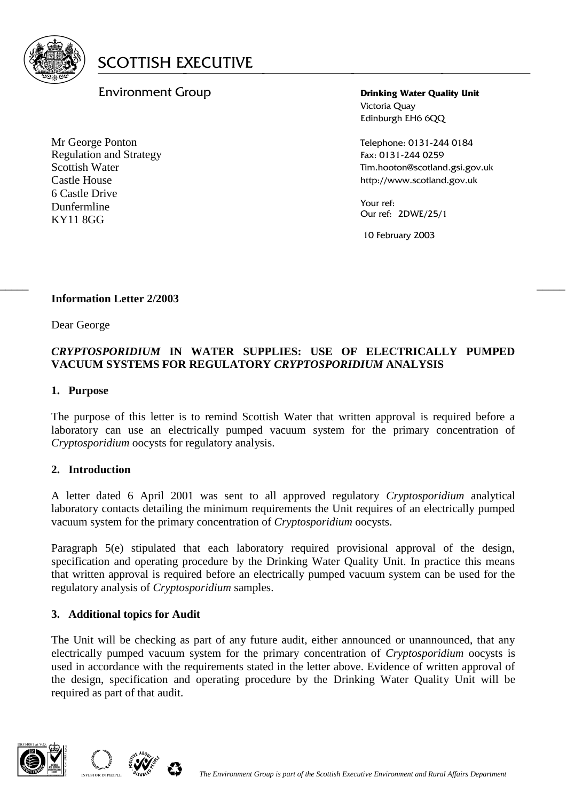

# Environment Group

Mr George Ponton Regulation and Strategy Scottish Water Castle House 6 Castle Drive Dunfermline KY11 8GG

**Drinking Water Quality Unit** Victoria Quay Edinburgh EH6 6QQ

Telephone: 0131-244 0184 Fax: 0131-244 0259 Tim.hooton@scotland.gsi.gov.uk http://www.scotland.gov.uk

Your ref: Our ref: 2DWE/25/1

10 February 2003

#### $\frac{1}{2}$  , the contribution of the contribution of the contribution of the contribution of the contribution of the contribution of the contribution of the contribution of the contribution of the contribution of the contr **Information Letter 2/2003**

Dear George

## *CRYPTOSPORIDIUM* **IN WATER SUPPLIES: USE OF ELECTRICALLY PUMPED VACUUM SYSTEMS FOR REGULATORY** *CRYPTOSPORIDIUM* **ANALYSIS**

### **1. Purpose**

The purpose of this letter is to remind Scottish Water that written approval is required before a laboratory can use an electrically pumped vacuum system for the primary concentration of *Cryptosporidium* oocysts for regulatory analysis.

### **2. Introduction**

A letter dated 6 April 2001 was sent to all approved regulatory *Cryptosporidium* analytical laboratory contacts detailing the minimum requirements the Unit requires of an electrically pumped vacuum system for the primary concentration of *Cryptosporidium* oocysts.

Paragraph 5(e) stipulated that each laboratory required provisional approval of the design, specification and operating procedure by the Drinking Water Quality Unit. In practice this means that written approval is required before an electrically pumped vacuum system can be used for the regulatory analysis of *Cryptosporidium* samples.

## **3. Additional topics for Audit**

The Unit will be checking as part of any future audit, either announced or unannounced, that any electrically pumped vacuum system for the primary concentration of *Cryptosporidium* oocysts is used in accordance with the requirements stated in the letter above. Evidence of written approval of the design, specification and operating procedure by the Drinking Water Quality Unit will be required as part of that audit.



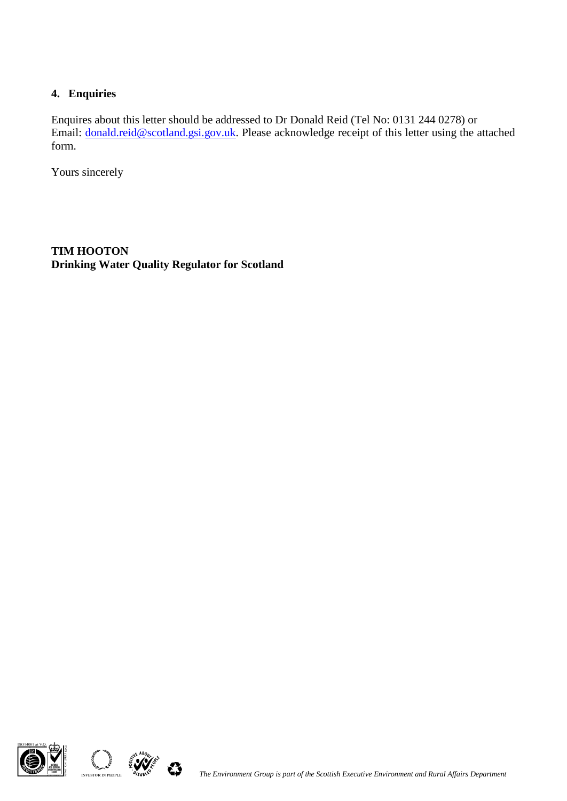# **4. Enquiries**

Enquires about this letter should be addressed to Dr Donald Reid (Tel No: 0131 244 0278) or Email: [donald.reid@scotland.gsi.gov.uk.](mailto:donald.reid@scotland.gsi.gov.uk) Please acknowledge receipt of this letter using the attached form.

Yours sincerely

**TIM HOOTON Drinking Water Quality Regulator for Scotland**